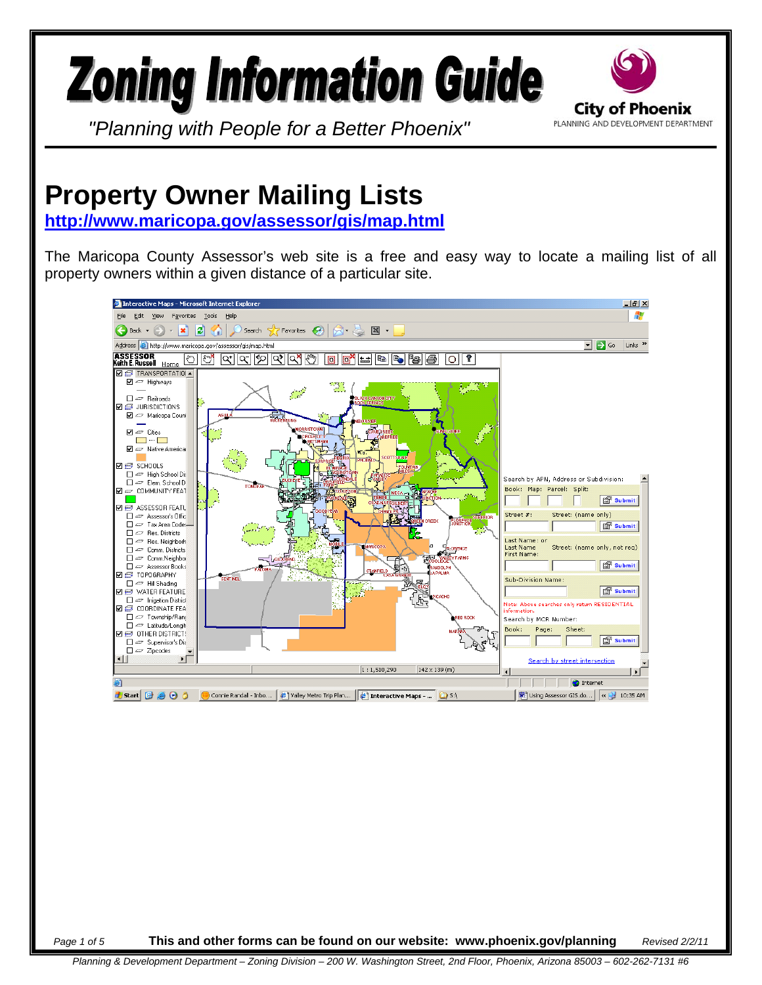## **Zoning Information Guide**



*"Planning with People for a Better Phoenix"*

## **Property Owner Mailing Lists**

**<http://www.maricopa.gov/assessor/gis/map.html>**

The Maricopa County Assessor's web site is a free and easy way to locate a mailing list of all property owners within a given distance of a particular site.



*Page 1 of 5* **This and other forms can be found on our website: www.phoenix.gov/planning** *Revised 2/2/11*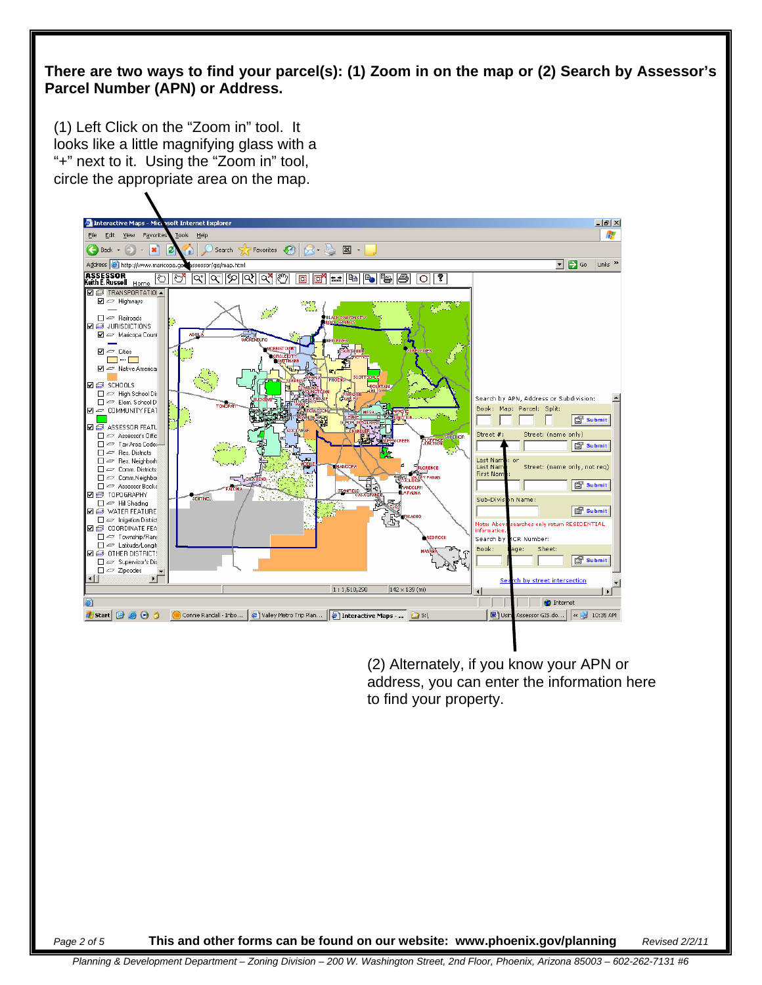## **There are two ways to find your parcel(s): (1) Zoom in on the map or (2) Search by Assessor's Parcel Number (APN) or Address.**

(1) Left Click on the "Zoom in" tool. It looks like a little magnifying glass with a "+" next to it. Using the "Zoom in" tool, circle the appropriate area on the map.



(2) Alternately, if you know your APN or address, you can enter the information here to find your property.

*Page 2 of 5* **This and other forms can be found on our website: www.phoenix.gov/planning** *Revised 2/2/11*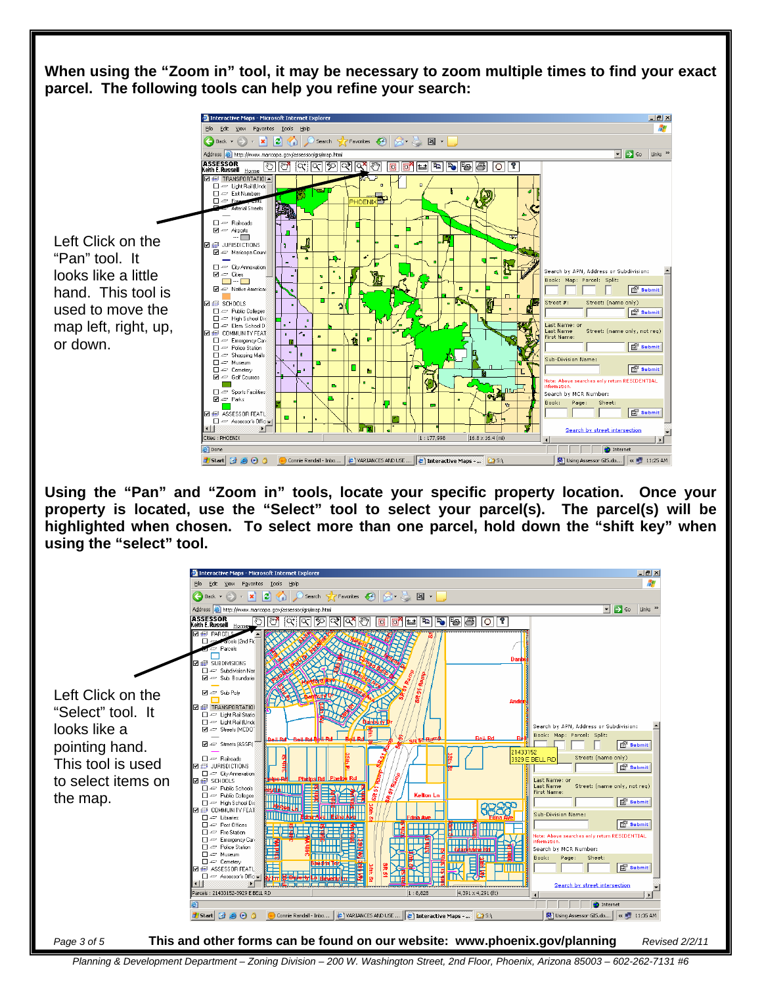**When using the "Zoom in" tool, it may be necessary to zoom multiple times to find your exact parcel. The following tools can help you refine your search:** 



**Using the "Pan" and "Zoom in" tools, locate your specific property location. Once your property is located, use the "Select" tool to select your parcel(s). The parcel(s) will be highlighted when chosen. To select more than one parcel, hold down the "shift key" when using the "select" tool.** 



*Planning & Development Department – Zoning Division – 200 W. Washington Street, 2nd Floor, Phoenix, Arizona 85003 – 602-262-7131 #6*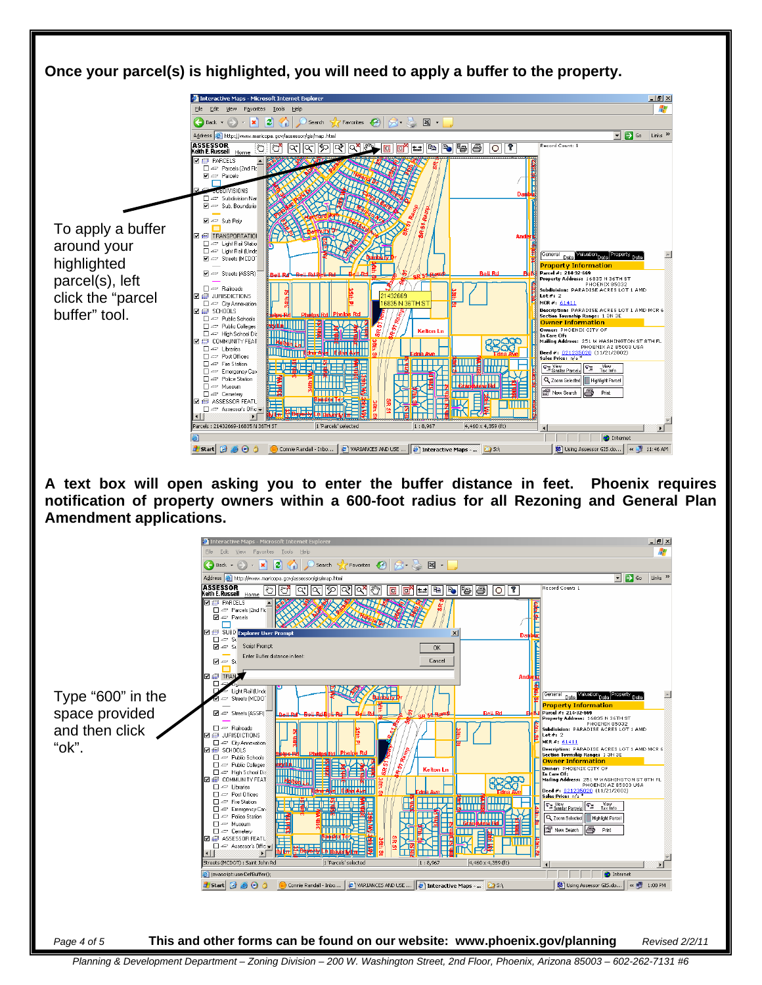



*Planning & Development Department – Zoning Division – 200 W. Washington Street, 2nd Floor, Phoenix, Arizona 85003 – 602-262-7131 #6*